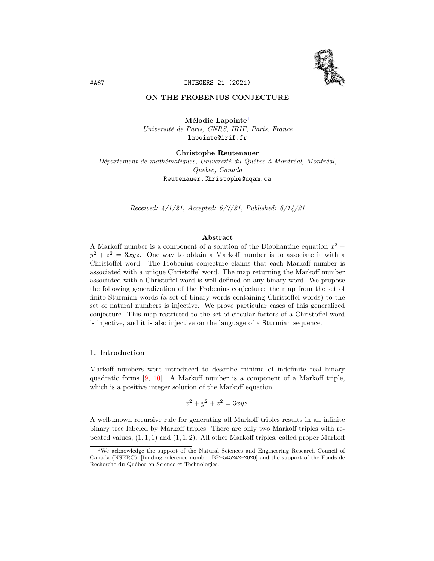

# ON THE FROBENIUS CONJECTURE

Mélodie Lapointe<sup>[1](#page-0-0)</sup> Universit´e de Paris, CNRS, IRIF, Paris, France lapointe@irif.fr

Christophe Reutenauer Département de mathématiques, Université du Québec à Montréal, Montréal, Qu´ebec, Canada Reutenauer.Christophe@uqam.ca

Received: 4/1/21, Accepted: 6/7/21, Published: 6/14/21

# Abstract

A Markoff number is a component of a solution of the Diophantine equation  $x^2 +$  $y^2 + z^2 = 3xyz$ . One way to obtain a Markoff number is to associate it with a Christoffel word. The Frobenius conjecture claims that each Markoff number is associated with a unique Christoffel word. The map returning the Markoff number associated with a Christoffel word is well-defined on any binary word. We propose the following generalization of the Frobenius conjecture: the map from the set of finite Sturmian words (a set of binary words containing Christoffel words) to the set of natural numbers is injective. We prove particular cases of this generalized conjecture. This map restricted to the set of circular factors of a Christoffel word is injective, and it is also injective on the language of a Sturmian sequence.

# 1. Introduction

Markoff numbers were introduced to describe minima of indefinite real binary quadratic forms [\[9,](#page-8-0) [10\]](#page-8-1). A Markoff number is a component of a Markoff triple, which is a positive integer solution of the Markoff equation

$$
x^2 + y^2 + z^2 = 3xyz.
$$

A well-known recursive rule for generating all Markoff triples results in an infinite binary tree labeled by Markoff triples. There are only two Markoff triples with repeated values,  $(1, 1, 1)$  and  $(1, 1, 2)$ . All other Markoff triples, called proper Markoff

<span id="page-0-0"></span><sup>1</sup>We acknowledge the support of the Natural Sciences and Engineering Research Council of Canada (NSERC), [funding reference number BP–545242–2020] and the support of the Fonds de Recherche du Québec en Science et Technologies.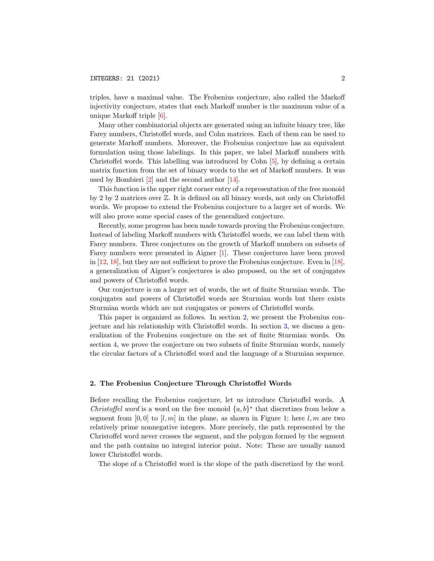triples, have a maximal value. The Frobenius conjecture, also called the Markoff injectivity conjecture, states that each Markoff number is the maximum value of a unique Markoff triple [\[6\]](#page-8-2).

Many other combinatorial objects are generated using an infinite binary tree, like Farey numbers, Christoffel words, and Cohn matrices. Each of them can be used to generate Markoff numbers. Moreover, the Frobenius conjecture has an equivalent formulation using those labelings. In this paper, we label Markoff numbers with Christoffel words. This labelling was introduced by Cohn [\[5\]](#page-8-3), by defining a certain matrix function from the set of binary words to the set of Markoff numbers. It was used by Bombieri [\[2\]](#page-8-4) and the second author [\[14\]](#page-8-5).

This function is the upper right corner entry of a representation of the free monoid by 2 by 2 matrices over Z. It is defined on all binary words, not only on Christoffel words. We propose to extend the Frobenius conjecture to a larger set of words. We will also prove some special cases of the generalized conjecture.

Recently, some progress has been made towards proving the Frobenius conjecture. Instead of labeling Markoff numbers with Christoffel words, we can label them with Farey numbers. Three conjectures on the growth of Markoff numbers on subsets of Farey numbers were presented in Aigner [\[1\]](#page-8-6). These conjectures have been proved in [\[12,](#page-8-7) [18\]](#page-8-8), but they are not sufficient to prove the Frobenius conjecture. Even in [\[18\]](#page-8-8), a generalization of Aigner's conjectures is also proposed, on the set of conjugates and powers of Christoffel words.

Our conjecture is on a larger set of words, the set of finite Sturmian words. The conjugates and powers of Christoffel words are Sturmian words but there exists Sturmian words which are not conjugates or powers of Christoffel words.

This paper is organized as follows. In section [2,](#page-1-0) we present the Frobenius conjecture and his relationship with Christoffel words. In section [3,](#page-3-0) we discuss a generalization of the Frobenius conjecture on the set of finite Sturmian words. On section [4,](#page-3-1) we prove the conjecture on two subsets of finite Sturmian words, namely the circular factors of a Christoffel word and the language of a Sturmian sequence.

#### <span id="page-1-0"></span>2. The Frobenius Conjecture Through Christoffel Words

Before recalling the Frobenius conjecture, let us introduce Christoffel words. A Christoffel word is a word on the free monoid  $\{a, b\}^*$  that discretizes from below a segment from [0, 0] to [l, m] in the plane, as shown in Figure [1;](#page-2-0) here l, m are two relatively prime nonnegative integers. More precisely, the path represented by the Christoffel word never crosses the segment, and the polygon formed by the segment and the path contains no integral interior point. Note: These are usually named lower Christoffel words.

The slope of a Christoffel word is the slope of the path discretized by the word.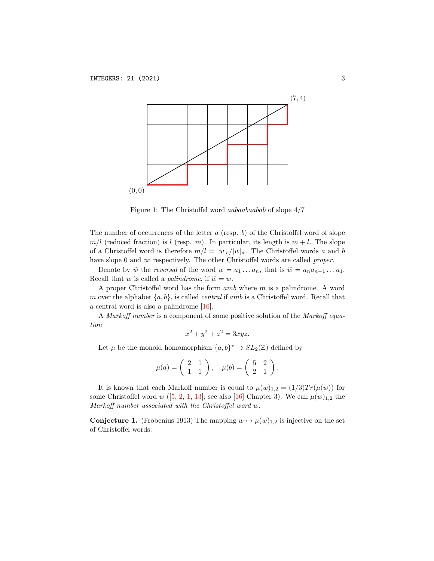

<span id="page-2-0"></span>Figure 1: The Christoffel word aabaabaabab of slope 4/7

The number of occurrences of the letter  $a$  (resp.  $b$ ) of the Christoffel word of slope  $m/l$  (reduced fraction) is l (resp. m). In particular, its length is  $m + l$ . The slope of a Christoffel word is therefore  $m/l = |w|_b/|w|_a$ . The Christoffel words a and b have slope 0 and  $\infty$  respectively. The other Christoffel words are called *proper*.

Denote by  $\widetilde{w}$  the *reversal* of the word  $w = a_1 \dots a_n$ , that is  $\widetilde{w} = a_n a_{n-1} \dots a_1$ . Recall that w is called a *palindrome*, if  $\tilde{w} = w$ .

A proper Christoffel word has the form  $amb$  where  $m$  is a palindrome. A word m over the alphabet  $\{a, b\}$ , is called *central* if amb is a Christoffel word. Recall that a central word is also a palindrome [\[16\]](#page-8-9).

A Markoff number is a component of some positive solution of the Markoff equation

$$
x^2 + y^2 + z^2 = 3xyz.
$$

Let  $\mu$  be the monoid homomorphism  $\{a, b\}^* \to SL_2(\mathbb{Z})$  defined by

$$
\mu(a) = \begin{pmatrix} 2 & 1 \\ 1 & 1 \end{pmatrix}, \quad \mu(b) = \begin{pmatrix} 5 & 2 \\ 2 & 1 \end{pmatrix}.
$$

It is known that each Markoff number is equal to  $\mu(w)_{1,2} = (1/3)Tr(\mu(w))$  for some Christoffel word w ([\[5,](#page-8-3) [2,](#page-8-4) [1,](#page-8-6) [13\]](#page-8-10); see also [\[16\]](#page-8-9) Chapter 3). We call  $\mu(w)_{1,2}$  the Markoff number associated with the Christoffel word w.

**Conjecture 1.** (Frobenius 1913) The mapping  $w \mapsto \mu(w)_{1,2}$  is injective on the set of Christoffel words.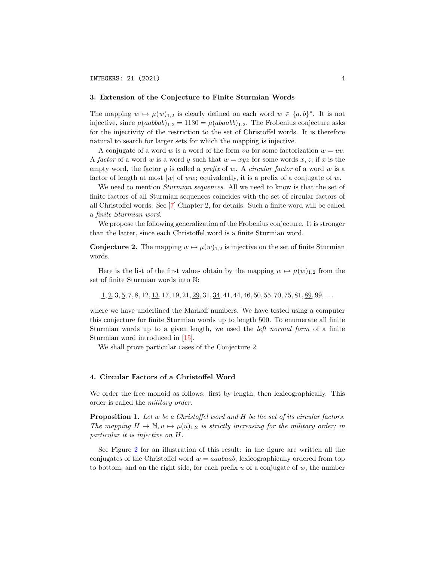#### <span id="page-3-0"></span>3. Extension of the Conjecture to Finite Sturmian Words

The mapping  $w \mapsto \mu(w)_{1,2}$  is clearly defined on each word  $w \in \{a, b\}^*$ . It is not injective, since  $\mu(aabbab)_{1,2} = 1130 = \mu(abaab)_{1,2}$ . The Frobenius conjecture asks for the injectivity of the restriction to the set of Christoffel words. It is therefore natural to search for larger sets for which the mapping is injective.

A conjugate of a word w is a word of the form vu for some factorization  $w = uv$ . A factor of a word w is a word y such that  $w = xyz$  for some words x, z; if x is the empty word, the factor y is called a *prefix* of w. A *circular factor* of a word w is a factor of length at most  $|w|$  of ww; equivalently, it is a prefix of a conjugate of w.

We need to mention *Sturmian sequences*. All we need to know is that the set of finite factors of all Sturmian sequences coincides with the set of circular factors of all Christoffel words. See [\[7\]](#page-8-11) Chapter 2, for details. Such a finite word will be called a finite Sturmian word.

We propose the following generalization of the Frobenius conjecture. It is stronger than the latter, since each Christoffel word is a finite Sturmian word.

<span id="page-3-3"></span>**Conjecture 2.** The mapping  $w \mapsto \mu(w)_{1,2}$  is injective on the set of finite Sturmian words.

Here is the list of the first values obtain by the mapping  $w \mapsto \mu(w)_{1,2}$  from the set of finite Sturmian words into N:

 $1, 2, 3, 5, 7, 8, 12, 13, 17, 19, 21, 29, 31, 34, 41, 44, 46, 50, 55, 70, 75, 81, 89, 99, \ldots$ 

where we have underlined the Markoff numbers. We have tested using a computer this conjecture for finite Sturmian words up to length 500. To enumerate all finite Sturmian words up to a given length, we used the left normal form of a finite Sturmian word introduced in [\[15\]](#page-8-12).

We shall prove particular cases of the Conjecture 2.

# <span id="page-3-1"></span>4. Circular Factors of a Christoffel Word

We order the free monoid as follows: first by length, then lexicographically. This order is called the military order.

<span id="page-3-2"></span>**Proposition 1.** Let w be a Christoffel word and H be the set of its circular factors. The mapping  $H \to \mathbb{N}, u \mapsto \mu(u)_{1,2}$  is strictly increasing for the military order; in particular it is injective on H.

See Figure [2](#page-4-0) for an illustration of this result: in the figure are written all the conjugates of the Christoffel word  $w = aaabaab$ , lexicographically ordered from top to bottom, and on the right side, for each prefix  $u$  of a conjugate of  $w$ , the number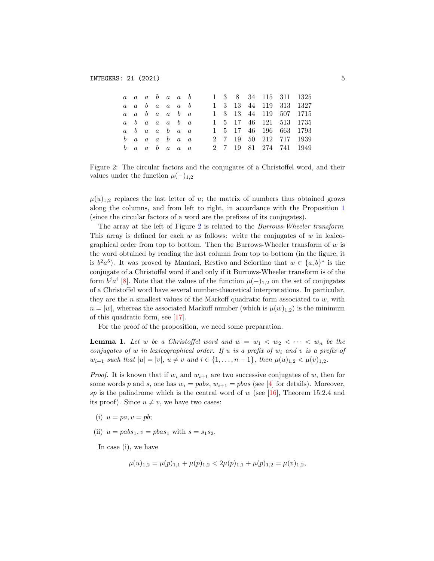|  |  | $a \ a \ a \ b \ a \ a \ b$                         |  |  |  |  | 1 3 8 34 115 311 1325  |
|--|--|-----------------------------------------------------|--|--|--|--|------------------------|
|  |  | $a \ a \ b \ a \ a \ a \ b$                         |  |  |  |  | 1 3 13 44 119 313 1327 |
|  |  | $a \quad a \quad b \quad a \quad a \quad b \quad a$ |  |  |  |  | 1 3 13 44 119 507 1715 |
|  |  | $a \quad b \quad a \quad a \quad a \quad b \quad a$ |  |  |  |  | 1 5 17 46 121 513 1735 |
|  |  | $a \quad b \quad a \quad a \quad b \quad a \quad a$ |  |  |  |  | 1 5 17 46 196 663 1793 |
|  |  | $b$ a a a b a a                                     |  |  |  |  | 2 7 19 50 212 717 1939 |
|  |  | $b$ a a b a a a                                     |  |  |  |  | 2 7 19 81 274 741 1949 |

<span id="page-4-0"></span>Figure 2: The circular factors and the conjugates of a Christoffel word, and their values under the function  $\mu(-)_{1,2}$ 

 $\mu(u)_{1,2}$  replaces the last letter of u; the matrix of numbers thus obtained grows along the columns, and from left to right, in accordance with the Proposition [1](#page-3-2) (since the circular factors of a word are the prefixes of its conjugates).

The array at the left of Figure [2](#page-4-0) is related to the Burrows-Wheeler transform. This array is defined for each  $w$  as follows: write the conjugates of  $w$  in lexicographical order from top to bottom. Then the Burrows-Wheeler transform of  $w$  is the word obtained by reading the last column from top to bottom (in the figure, it is  $b^2a^5$ ). It was proved by Mantaci, Restivo and Sciortino that  $w \in \{a, b\}^*$  is the conjugate of a Christoffel word if and only if it Burrows-Wheeler transform is of the form  $b^j a^i$  [\[8\]](#page-8-13). Note that the values of the function  $\mu(-)_{1,2}$  on the set of conjugates of a Christoffel word have several number-theoretical interpretations. In particular, they are the n smallest values of the Markoff quadratic form associated to  $w$ , with  $n = |w|$ , whereas the associated Markoff number (which is  $\mu(w)_{1,2}$ ) is the minimum of this quadratic form, see [\[17\]](#page-8-14).

For the proof of the proposition, we need some preparation.

<span id="page-4-1"></span>**Lemma 1.** Let w be a Christoffel word and  $w = w_1 < w_2 < \cdots < w_n$  be the conjugates of w in lexicographical order. If u is a prefix of  $w_i$  and v is a prefix of  $w_{i+1}$  such that  $|u| = |v|, u \neq v$  and  $i \in \{1, ..., n-1\}$ , then  $\mu(u)_{1,2} < \mu(v)_{1,2}$ .

*Proof.* It is known that if  $w_i$  and  $w_{i+1}$  are two successive conjugates of w, then for some words p and s, one has  $w_i = pabs, w_{i+1} = pbas$  (see [\[4\]](#page-8-15) for details). Moreover, sp is the palindrome which is the central word of w (see [\[16\]](#page-8-9), Theorem 15.2.4 and its proof). Since  $u \neq v$ , we have two cases:

- (i)  $u = pa, v = pb$ ;
- (ii)  $u = pabs_1, v = pbas_1$  with  $s = s_1s_2$ .

In case (i), we have

$$
\mu(u)_{1,2} = \mu(p)_{1,1} + \mu(p)_{1,2} < 2\mu(p)_{1,1} + \mu(p)_{1,2} = \mu(v)_{1,2},
$$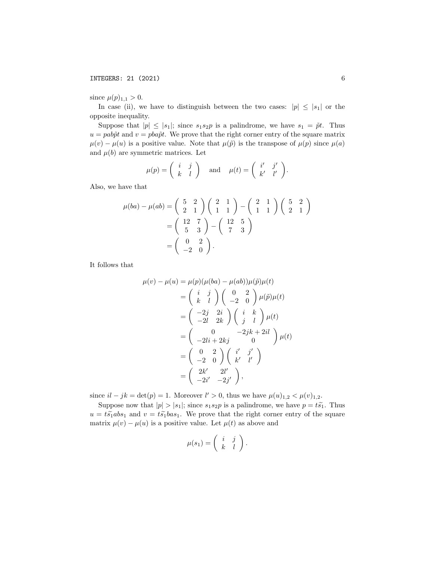since  $\mu(p)_{1,1} > 0$ .

In case (ii), we have to distinguish between the two cases:  $|p| \leq |s_1|$  or the opposite inequality.

Suppose that  $|p| \leq |s_1|$ ; since  $s_1 s_2 p$  is a palindrome, we have  $s_1 = \tilde{p}t$ . Thus  $u = pab\tilde{p}t$  and  $v = pba\tilde{p}t$ . We prove that the right corner entry of the square matrix  $\mu(v) - \mu(u)$  is a positive value. Note that  $\mu(\tilde{p})$  is the transpose of  $\mu(p)$  since  $\mu(a)$ and  $\mu(b)$  are symmetric matrices. Let

$$
\mu(p) = \begin{pmatrix} i & j \\ k & l \end{pmatrix} \quad \text{and} \quad \mu(t) = \begin{pmatrix} i' & j' \\ k' & l' \end{pmatrix}.
$$

Also, we have that

$$
\mu(ba) - \mu(ab) = \begin{pmatrix} 5 & 2 \\ 2 & 1 \end{pmatrix} \begin{pmatrix} 2 & 1 \\ 1 & 1 \end{pmatrix} - \begin{pmatrix} 2 & 1 \\ 1 & 1 \end{pmatrix} \begin{pmatrix} 5 & 2 \\ 2 & 1 \end{pmatrix}
$$

$$
= \begin{pmatrix} 12 & 7 \\ 5 & 3 \end{pmatrix} - \begin{pmatrix} 12 & 5 \\ 7 & 3 \end{pmatrix}
$$

$$
= \begin{pmatrix} 0 & 2 \\ -2 & 0 \end{pmatrix}.
$$

It follows that

$$
\mu(v) - \mu(u) = \mu(p)(\mu(ba) - \mu(ab))\mu(\tilde{p})\mu(t)
$$
  
\n
$$
= \begin{pmatrix} i & j \\ k & l \end{pmatrix} \begin{pmatrix} 0 & 2 \\ -2 & 0 \end{pmatrix} \mu(\tilde{p})\mu(t)
$$
  
\n
$$
= \begin{pmatrix} -2j & 2i \\ -2l & 2k \end{pmatrix} \begin{pmatrix} i & k \\ j & l \end{pmatrix} \mu(t)
$$
  
\n
$$
= \begin{pmatrix} 0 & -2jk + 2il \\ -2li + 2kj & 0 \end{pmatrix} \mu(t)
$$
  
\n
$$
= \begin{pmatrix} 0 & 2 \\ -2 & 0 \end{pmatrix} \begin{pmatrix} i' & j' \\ k' & l' \end{pmatrix}
$$
  
\n
$$
= \begin{pmatrix} 2k' & 2l' \\ -2i' & -2j' \end{pmatrix},
$$

since  $il - jk = \det(p) = 1$ . Moreover  $l' > 0$ , thus we have  $\mu(u)_{1,2} < \mu(v)_{1,2}$ .

Suppose now that  $|p| > |s_1|$ ; since  $s_1 s_2 p$  is a palindrome, we have  $p = t \tilde{s_1}$ . Thus  $u = t\tilde{s_1}abs_1$  and  $v = t\tilde{s_1}bas_1$ . We prove that the right corner entry of the square matrix  $\mu(v) - \mu(u)$  is a positive value. Let  $\mu(t)$  as above and

$$
\mu(s_1) = \left(\begin{array}{cc} i & j \\ k & l \end{array}\right).
$$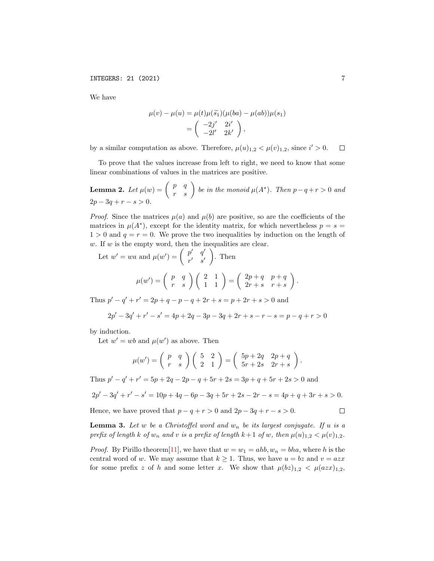We have

$$
\mu(v) - \mu(u) = \mu(t)\mu(\tilde{s}_1)(\mu(ba) - \mu(ab))\mu(s_1)
$$

$$
= \begin{pmatrix} -2j' & 2i' \\ -2l' & 2k' \end{pmatrix},
$$

by a similar computation as above. Therefore,  $\mu(u)_{1,2} < \mu(v)_{1,2}$ , since  $i' > 0$ .  $\Box$ 

To prove that the values increase from left to right, we need to know that some linear combinations of values in the matrices are positive.

<span id="page-6-0"></span>**Lemma 2.** Let  $\mu(w) = \begin{pmatrix} p & q \\ r & s \end{pmatrix}$  be in the monoid  $\mu(A^*)$ . Then  $p-q+r > 0$  and  $2p - 3q + r - s > 0.$ 

*Proof.* Since the matrices  $\mu(a)$  and  $\mu(b)$  are positive, so are the coefficients of the matrices in  $\mu(A^*)$ , except for the identity matrix, for which nevertheless  $p = s =$  $1 > 0$  and  $q = r = 0$ . We prove the two inequalities by induction on the length of  $w$ . If  $w$  is the empty word, then the inequalities are clear.

Let  $w' = wa$  and  $\mu(w') = \begin{pmatrix} p' & q' \\ q' & q' \end{pmatrix}$  $r'$  s'  $\Big).$  Then  $\mu(w')=\left( \begin{array}{cc} p & q \ r & s \end{array} \right)\left( \begin{array}{cc} 2 & 1 \ 1 & 1 \end{array} \right)=\left( \begin{array}{cc} 2p+q & p+q \ 2r+s & r+s \end{array} \right)$  $2r + s$   $r + s$ 

Thus  $p' - q' + r' = 2p + q - p - q + 2r + s = p + 2r + s > 0$  and

$$
2p' - 3q' + r' - s' = 4p + 2q - 3p - 3q + 2r + s - r - s = p - q + r > 0
$$

 $\big).$ 

by induction.

Let  $w' = wb$  and  $\mu(w')$  as above. Then

$$
\mu(w') = \begin{pmatrix} p & q \\ r & s \end{pmatrix} \begin{pmatrix} 5 & 2 \\ 2 & 1 \end{pmatrix} = \begin{pmatrix} 5p + 2q & 2p + q \\ 5r + 2s & 2r + s \end{pmatrix}.
$$

Thus  $p'-q'+r'=5p+2q-2p-q+5r+2s=3p+q+5r+2s>0$  and

$$
2p' - 3q' + r' - s' = 10p + 4q - 6p - 3q + 5r + 2s - 2r - s = 4p + q + 3r + s > 0.
$$

Hence, we have proved that  $p - q + r > 0$  and  $2p - 3q + r - s > 0$ .

<span id="page-6-1"></span>**Lemma 3.** Let w be a Christoffel word and  $w_n$  be its largest conjugate. If u is a prefix of length k of  $w_n$  and v is a prefix of length  $k+1$  of w, then  $\mu(u)_{1,2} < \mu(v)_{1,2}$ .

*Proof.* By Pirillo theorem [\[11\]](#page-8-16), we have that  $w = w_1 = ahb$ ,  $w_n = bha$ , where h is the central word of w. We may assume that  $k \geq 1$ . Thus, we have  $u = bz$  and  $v = azx$ for some prefix z of h and some letter x. We show that  $\mu(bz)_{1,2} < \mu(azx)_{1,2}$ ,

 $\Box$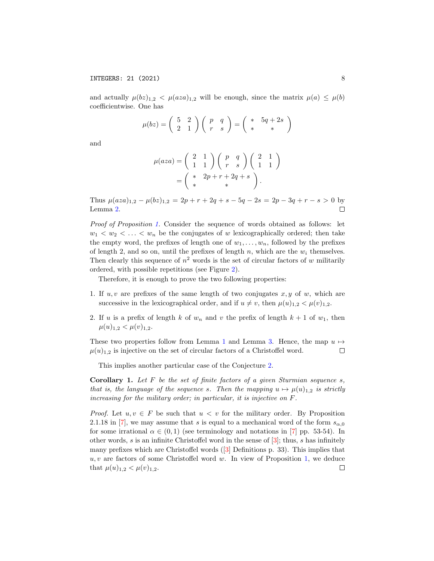and actually  $\mu(bz)_{1,2} < \mu(aza)_{1,2}$  will be enough, since the matrix  $\mu(a) \leq \mu(b)$ coefficientwise. One has

$$
\mu(bz) = \begin{pmatrix} 5 & 2 \\ 2 & 1 \end{pmatrix} \begin{pmatrix} p & q \\ r & s \end{pmatrix} = \begin{pmatrix} * & 5q + 2s \\ * & * \end{pmatrix}
$$

and

$$
\mu(aza) = \begin{pmatrix} 2 & 1 \\ 1 & 1 \end{pmatrix} \begin{pmatrix} p & q \\ r & s \end{pmatrix} \begin{pmatrix} 2 & 1 \\ 1 & 1 \end{pmatrix}
$$

$$
= \begin{pmatrix} * & 2p + r + 2q + s \\ * & * \end{pmatrix}.
$$

Thus  $\mu (aza)_{1,2} - \mu (bz)_{1,2} = 2p + r + 2q + s - 5q - 2s = 2p - 3q + r - s > 0$  by Lemma [2.](#page-6-0)  $\Box$ 

Proof of Proposition [1.](#page-3-2) Consider the sequence of words obtained as follows: let  $w_1 < w_2 < \ldots < w_n$  be the conjugates of w lexicographically ordered; then take the empty word, the prefixes of length one of  $w_1, \ldots, w_n$ , followed by the prefixes of length 2, and so on, until the prefixes of length  $n$ , which are the  $w_i$  themselves. Then clearly this sequence of  $n^2$  words is the set of circular factors of w militarily ordered, with possible repetitions (see Figure [2\)](#page-4-0).

Therefore, it is enough to prove the two following properties:

- 1. If  $u, v$  are prefixes of the same length of two conjugates  $x, y$  of w, which are successive in the lexicographical order, and if  $u \neq v$ , then  $\mu(u)_{1,2} < \mu(v)_{1,2}$ .
- 2. If u is a prefix of length k of  $w_n$  and v the prefix of length  $k+1$  of  $w_1$ , then  $\mu(u)_{1,2} < \mu(v)_{1,2}.$

These two properties follow from Lemma [1](#page-4-1) and Lemma [3.](#page-6-1) Hence, the map  $u \mapsto$  $\mu(u)_{1,2}$  is injective on the set of circular factors of a Christoffel word.  $\Box$ 

This implies another particular case of the Conjecture [2.](#page-3-3)

**Corollary 1.** Let  $F$  be the set of finite factors of a given Sturmian sequence  $s$ , that is, the language of the sequence s. Then the mapping  $u \mapsto \mu(u)_{1,2}$  is strictly increasing for the military order; in particular, it is injective on F.

*Proof.* Let  $u, v \in F$  be such that  $u < v$  for the military order. By Proposition 2.1.18 in [\[7\]](#page-8-11), we may assume that s is equal to a mechanical word of the form  $s_{\alpha,0}$ for some irrational  $\alpha \in (0,1)$  (see terminology and notations in [\[7\]](#page-8-11) pp. 53-54). In other words, s is an infinite Christoffel word in the sense of  $[3]$ ; thus, s has infinitely many prefixes which are Christoffel words ([\[3\]](#page-8-17) Definitions p. 33). This implies that  $u, v$  are factors of some Christoffel word w. In view of Proposition [1,](#page-3-2) we deduce that  $\mu(u)_{1,2} < \mu(v)_{1,2}$ .  $\Box$